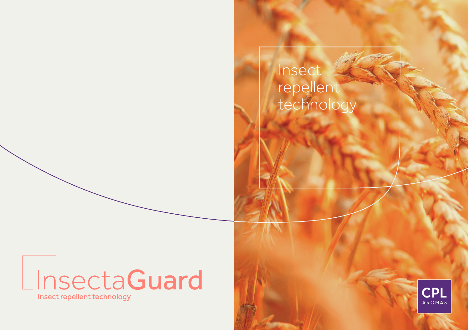# Insect repellent technology